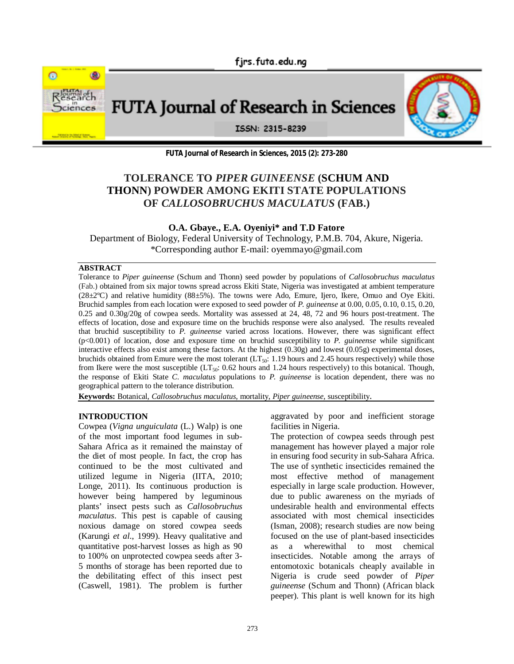

FUTA Journal of Research in Sciences



ISSN: 2315-8239

**FUTA Journal of Research in Sciences, 2015 (2): 273-280**

# **TOLERANCE TO** *PIPER GUINEENSE* **(SCHUM AND THONN) POWDER AMONG EKITI STATE POPULATIONS OF** *CALLOSOBRUCHUS MACULATUS* **(FAB.)**

**O.A. Gbaye., E.A. Oyeniyi\* and T.D Fatore**

Department of Biology, Federal University of Technology, P.M.B. 704, Akure, Nigeria. \*Corresponding author E-mail: oyemmayo@gmail.com

### **ABSTRACT**

Tolerance to *Piper guineense* (Schum and Thonn) seed powder by populations of *Callosobruchus maculatus* (Fab.) obtained from six major towns spread across Ekiti State, Nigeria was investigated at ambient temperature  $(28\pm2^{\circ}\text{C})$  and relative humidity  $(88\pm5\%)$ . The towns were Ado, Emure, Ijero, Ikere, Omuo and Oye Ekiti. Bruchid samples from each location were exposed to seed powder of *P. guineense* at 0.00, 0.05, 0.10, 0.15, 0.20, 0.25 and 0.30g/20g of cowpea seeds. Mortality was assessed at 24, 48, 72 and 96 hours post-treatment. The effects of location, dose and exposure time on the bruchids response were also analysed. The results revealed that bruchid susceptibility to *P. guineense* varied across locations. However, there was significant effect (p<0.001) of location, dose and exposure time on bruchid susceptibility to *P. guineense* while significant interactive effects also exist among these factors. At the highest (0.30g) and lowest (0.05g) experimental doses, bruchids obtained from Emure were the most tolerant (LT<sub>50</sub>: 1.19 hours and 2.45 hours respectively) while those from Ikere were the most susceptible  $(LT_{50}$ : 0.62 hours and 1.24 hours respectively) to this botanical. Though, the response of Ekiti State *C. maculatus* populations to *P. guineense* is location dependent, there was no geographical pattern to the tolerance distribution.

**Keywords:** Botanical, *Callosobruchus maculatus*, mortality, *Piper guineense*, susceptibility.

## **INTRODUCTION**

Cowpea (*Vigna unguiculata* (L.) Walp) is one of the most important food legumes in sub-Sahara Africa as it remained the mainstay of the diet of most people. In fact, the crop has continued to be the most cultivated and utilized legume in Nigeria (IITA, 2010; Longe, 2011). Its continuous production is however being hampered by leguminous plants' insect pests such as *Callosobruchus maculatus*. This pest is capable of causing noxious damage on stored cowpea seeds (Karungi *et al*., 1999). Heavy qualitative and quantitative post-harvest losses as high as 90 to 100% on unprotected cowpea seeds after 3- 5 months of storage has been reported due to the debilitating effect of this insect pest (Caswell, 1981). The problem is further

aggravated by poor and inefficient storage facilities in Nigeria.

The protection of cowpea seeds through pest management has however played a major role in ensuring food security in sub-Sahara Africa. The use of synthetic insecticides remained the most effective method of management especially in large scale production. However, due to public awareness on the myriads of undesirable health and environmental effects associated with most chemical insecticides (Isman, 2008); research studies are now being focused on the use of plant-based insecticides as a wherewithal to most chemical insecticides. Notable among the arrays of entomotoxic botanicals cheaply available in Nigeria is crude seed powder of *Piper guineense* (Schum and Thonn) (African black peeper). This plant is well known for its high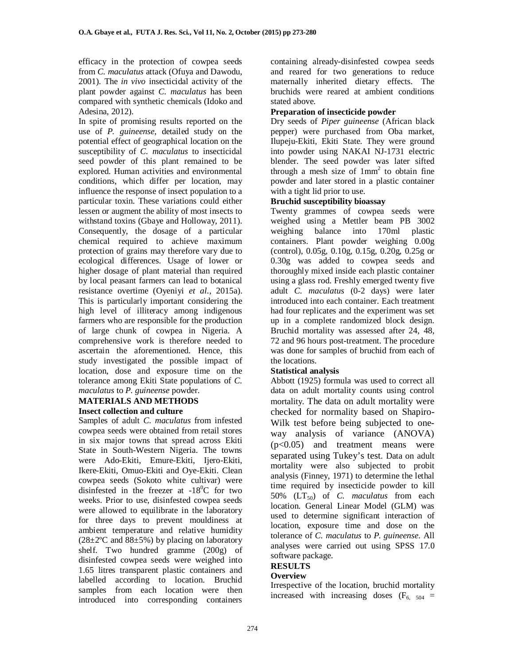efficacy in the protection of cowpea seeds from *C. maculatus* attack (Ofuya and Dawodu, 2001). The *in vivo* insecticidal activity of the plant powder against *C. maculatus* has been compared with synthetic chemicals (Idoko and Adesina, 2012).

In spite of promising results reported on the use of *P. guineense*, detailed study on the potential effect of geographical location on the susceptibility of *C. maculatus* to insecticidal seed powder of this plant remained to be explored. Human activities and environmental conditions, which differ per location, may influence the response of insect population to a particular toxin. These variations could either lessen or augment the ability of most insects to withstand toxins (Gbaye and Holloway, 2011). Consequently, the dosage of a particular chemical required to achieve maximum protection of grains may therefore vary due to ecological differences. Usage of lower or higher dosage of plant material than required by local peasant farmers can lead to botanical resistance overtime (Oyeniyi *et al*., 2015a). This is particularly important considering the high level of illiteracy among indigenous farmers who are responsible for the production of large chunk of cowpea in Nigeria. A comprehensive work is therefore needed to ascertain the aforementioned. Hence, this study investigated the possible impact of location, dose and exposure time on the tolerance among Ekiti State populations of *C. maculatus* to *P. guineense* powder.

# **MATERIALS AND METHODS**

# **Insect collection and culture**

Samples of adult *C. maculatus* from infested cowpea seeds were obtained from retail stores in six major towns that spread across Ekiti State in South-Western Nigeria. The towns were Ado-Ekiti, Emure-Ekiti, Ijero-Ekiti, Ikere-Ekiti, Omuo-Ekiti and Oye-Ekiti. Clean cowpea seeds (Sokoto white cultivar) were disinfested in the freezer at  $-18^{\circ}$ C for two weeks. Prior to use, disinfested cowpea seeds were allowed to equilibrate in the laboratory for three days to prevent mouldiness at ambient temperature and relative humidity  $(28\pm2\degree C \text{ and } 88\pm5\%)$  by placing on laboratory shelf. Two hundred gramme (200g) of disinfested cowpea seeds were weighed into 1.65 litres transparent plastic containers and labelled according to location. Bruchid samples from each location were then introduced into corresponding containers

containing already-disinfested cowpea seeds and reared for two generations to reduce maternally inherited dietary effects. The bruchids were reared at ambient conditions stated above.

### **Preparation of insecticide powder**

Dry seeds of *Piper guineense* (African black pepper) were purchased from Oba market, Ilupeju-Ekiti, Ekiti State. They were ground into powder using NAKAI NJ-1731 electric blender. The seed powder was later sifted through a mesh size of  $1mm<sup>2</sup>$  to obtain fine powder and later stored in a plastic container with a tight lid prior to use.

### **Bruchid susceptibility bioassay**

Twenty grammes of cowpea seeds were weighed using a Mettler beam PB 3002 weighing balance into 170ml plastic containers. Plant powder weighing 0.00g (control), 0.05g, 0.10g, 0.15g, 0.20g, 0.25g or 0.30g was added to cowpea seeds and thoroughly mixed inside each plastic container using a glass rod. Freshly emerged twenty five adult *C. maculatus* (0-2 days) were later introduced into each container. Each treatment had four replicates and the experiment was set up in a complete randomized block design. Bruchid mortality was assessed after 24, 48, 72 and 96 hours post-treatment. The procedure was done for samples of bruchid from each of the locations.

### **Statistical analysis**

Abbott (1925) formula was used to correct all data on adult mortality counts using control mortality. The data on adult mortality were checked for normality based on Shapiro-Wilk test before being subjected to oneway analysis of variance (ANOVA) (p<0.05) and treatment means were separated using Tukey's test. Data on adult mortality were also subjected to probit analysis (Finney, 1971) to determine the lethal time required by insecticide powder to kill 50%  $(LT_{50})$  of *C. maculatus* from each location. General Linear Model (GLM) was used to determine significant interaction of location, exposure time and dose on the tolerance of *C. maculatus* to *P. guineense*. All analyses were carried out using SPSS 17.0 software package.

# **RESULTS**

# **Overview**

Irrespective of the location, bruchid mortality increased with increasing doses  $(F<sub>6, 504</sub>)$  =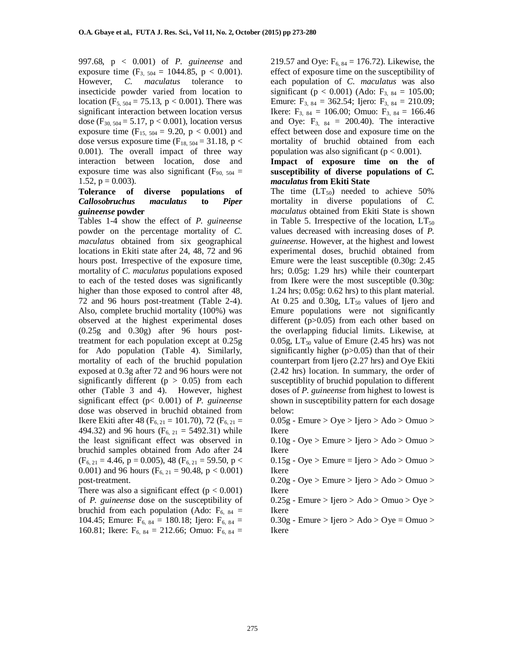997.68, p < 0.001) of *P. guineense* and exposure time  $(F_{3, 504} = 1044.85, p < 0.001)$ . However, *C. maculatus* tolerance to insecticide powder varied from location to location ( $F_{5, 504} = 75.13$ , p < 0.001). There was significant interaction between location versus dose ( $F_{30, 504} = 5.17$ ,  $p < 0.001$ ), location versus exposure time  $(F_{15, 504} = 9.20, p < 0.001)$  and dose versus exposure time ( $F_{18, 504} = 31.18$ , p < 0.001). The overall impact of three way interaction between location, dose and exposure time was also significant ( $F_{90, 504}$  = 1.52,  $p = 0.003$ ).

### **Tolerance of diverse populations of** *Callosobruchus maculatus* **to** *Piper guineense* **powder**

Tables 1-4 show the effect of *P. guineense* powder on the percentage mortality of *C. maculatus* obtained from six geographical locations in Ekiti state after 24, 48, 72 and 96 hours post. Irrespective of the exposure time, mortality of *C. maculatus* populations exposed to each of the tested doses was significantly higher than those exposed to control after 48, 72 and 96 hours post-treatment (Table 2-4). Also, complete bruchid mortality (100%) was observed at the highest experimental doses (0.25g and 0.30g) after 96 hours posttreatment for each population except at 0.25g for Ado population (Table 4). Similarly, mortality of each of the bruchid population exposed at 0.3g after 72 and 96 hours were not significantly different ( $p > 0.05$ ) from each other (Table 3 and 4). However, highest significant effect (p< 0.001) of *P. guineense*  dose was observed in bruchid obtained from Ikere Ekiti after 48 ( $F_{6, 21} = 101.70$ ), 72 ( $F_{6, 21} =$ 494.32) and 96 hours  $(F_{6, 21} = 5492.31)$  while the least significant effect was observed in bruchid samples obtained from Ado after 24  $(F_{6, 21} = 4.46, p = 0.005), 48$   $(F_{6, 21} = 59.50, p <$ 0.001) and 96 hours ( $F_{6, 21} = 90.48$ , p < 0.001) post-treatment.

There was also a significant effect  $(p < 0.001)$ of *P. guineense* dose on the susceptibility of bruchid from each population (Ado:  $F_{6, 84}$  = 104.45; Emure:  $F_{6, 84} = 180.18$ ; Ijero:  $F_{6, 84} =$ 160.81; Ikere:  $F_{6, 84} = 212.66$ ; Omuo:  $F_{6, 84} =$  219.57 and Oye:  $F_{6, 84} = 176.72$ ). Likewise, the effect of exposure time on the susceptibility of each population of *C. maculatus* was also significant ( $p < 0.001$ ) (Ado:  $F_{3, 84} = 105.00$ ; Emure:  $F_{3, 84} = 362.54$ ; Ijero:  $F_{3, 84} = 210.09$ ; Ikere:  $F_{3, 84} = 106.00$ ; Omuo:  $F_{3, 84} = 166.46$ and Oye:  $F_{3, 84} = 200.40$ ). The interactive effect between dose and exposure time on the mortality of bruchid obtained from each population was also significant ( $p < 0.001$ ).

#### **Impact of exposure time on the of susceptibility of diverse populations of** *C. maculatus* **from Ekiti State**

The time  $(LT_{50})$  needed to achieve 50% mortality in diverse populations of *C. maculatus* obtained from Ekiti State is shown in Table 5. Irrespective of the location,  $LT_{50}$ values decreased with increasing doses of *P. guineense*. However, at the highest and lowest experimental doses, bruchid obtained from Emure were the least susceptible (0.30g: 2.45 hrs; 0.05g: 1.29 hrs) while their counterpart from Ikere were the most susceptible (0.30g: 1.24 hrs; 0.05g: 0.62 hrs) to this plant material. At  $0.25$  and  $0.30g$ ,  $LT_{50}$  values of Ijero and Emure populations were not significantly different (p>0.05) from each other based on the overlapping fiducial limits. Likewise, at 0.05g,  $LT_{50}$  value of Emure (2.45 hrs) was not significantly higher (p>0.05) than that of their counterpart from Ijero (2.27 hrs) and Oye Ekiti (2.42 hrs) location. In summary, the order of susceptiblity of bruchid population to different doses of *P. guineense* from highest to lowest is shown in susceptibility pattern for each dosage below:

 $0.05g$  - Emure  $>$  Oye  $>$  Ijero  $>$  Ado  $>$  Omuo  $>$ Ikere

 $0.10g - Oye > Emure > Ijero > Ado > Omuo >$ Ikere

 $0.15g - Oye > Emure = Ijero > Ado > Omuo >$ Ikere

 $0.20g - Oye > Emure > Ijero > Ado > Omuo >$ Ikere

 $0.25g$  - Emure > Ijero > Ado > Omuo > Oye > Ikere

 $0.30g$  - Emure > Ijero > Ado > Oye = Omuo > Ikere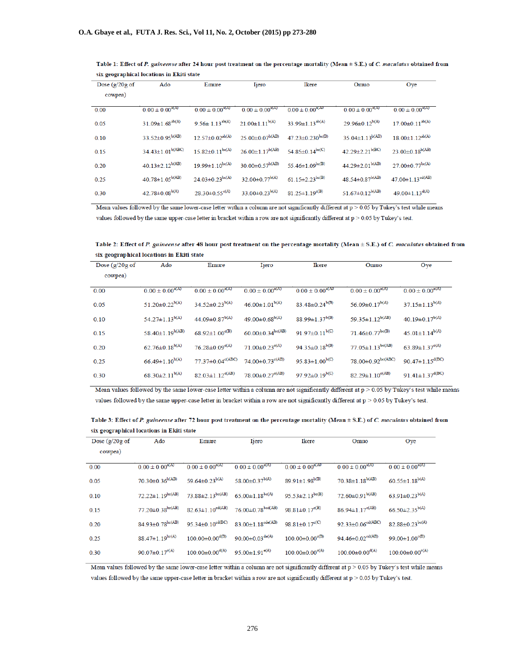| Dose $(g/20g \text{ of }$<br>cowpea) | Ado                       | Emure                             | <b>Ijero</b>             | Ikere                             | Omuo                               | Oye                               |
|--------------------------------------|---------------------------|-----------------------------------|--------------------------|-----------------------------------|------------------------------------|-----------------------------------|
| 0.00                                 | $0.00 \pm 0.00^{a(A)}$    | $0.00 \pm 0.00^{a(A)}$            | $0.00 \pm 0.00^{a(A)}$   | $0.00 \pm 0.00^{a(A0)}$           | $0.00 \pm 0.00^{a(A)}$             | $0.00 \pm 0.00^{a(A)}$            |
| 0.05                                 | $31.09 \pm 1.68^{ab(A)}$  | $9.56 \pm 1.13^{ab(A)}$           | $21.00 \pm 1.11^{b(A)}$  | $33.99 \pm 1.13^{ab(A)}$          | $29.96 \pm 0.12^{b(A)}$            | $17.00 \pm 0.11^{ab(A)}$          |
| 0.10                                 | $33.52 \pm 0.95^{b(AB)}$  | $12.57 \pm 0.02^{ab(A)}$          | $25.00 \pm 0.07^{b(AB)}$ | 47.23±0.230bc(B)                  | $35.04 \pm 1.13^{b(AB)}$           | $18.00 \pm 1.12^{ab(A)}$          |
| 0.15                                 | $34.43 \pm 1.01^{b(ABC)}$ | $15.82 \pm 0.11$ <sup>be(A)</sup> | $26.00 \pm 1.17^{b(AB)}$ | $54.85 \pm 0.14$ bc(C)            | $42.29 \pm 2.21$ <sub>b</sub> (BC) | $23.00 \pm 0.18^{b(AB)}$          |
| 0.20                                 | $40.13 \pm 2.12^{b(AB)}$  | $19.99 \pm 1.10^{bc(A)}$          | $30.00 \pm 0.57^{b(AB)}$ | 55.46 $\pm$ 1.09 <sup>bc(B)</sup> | $44.29 \pm 2.01^{b(AB)}$           | $27.00 \pm 0.77$ <sup>bc(A)</sup> |
| 0.25                                 | $40.78 \pm 1.05^{b(AB)}$  | $24.03 \pm 0.23$ <sup>bc(A)</sup> | $32.00 \pm 0.77^{b(A)}$  | $61.15 \pm 2.23$ be(B)            | $48.54 \pm 0.87^{b(AB)}$           | $47.00 \pm 1.13$ cd(AB)           |
| 0.30                                 | $42.78 \pm 0.08^{b(A)}$   | $28.30 \pm 0.55$ <sup>c(A)</sup>  | $33.00 \pm 0.23^{b(A)}$  | $81.25 \pm 1.19^{\text{c(B)}}$    | $51.67 \pm 0.12^{b(AB)}$           | 49.00 $\pm$ 1.13 <sup>d(A)</sup>  |

Table 1: Effect of P. guineense after 24 hour post treatment on the percentage mortality (Mean ± S.E.) of C. maculatus obtained from six geographical locations in Ekiti state

Mean values followed by the same lower-case letter within a column are not significantly different at  $p > 0.05$  by Tukey's test while means values followed by the same upper-case letter in bracket within a row are not significantly different at p > 0.05 by Tukey's test.

Table 2: Effect of P. guineense after 48 hour post treatment on the percentage mortality (Mean ± S.E.) of C. maculatus obtained from six geographical locations in Ekiti state

| Dose $(g/20g \text{ of }$<br>cowpea) | Ado                              | Emure                              | Ijero                             | Ikere                            | Omuo                              | Oye                               |
|--------------------------------------|----------------------------------|------------------------------------|-----------------------------------|----------------------------------|-----------------------------------|-----------------------------------|
| 0.00                                 | $0.00 \pm 0.00^{a(A)}$           | $0.00 \pm 0.00^{a(A)}$             | $0.00 \pm 0.00^{a(A)}$            | $0.00 \pm 0.00^{a(AD)}$          | $0.00 \pm 0.00^{a(A)}$            | $0.00 \pm 0.00^{a(A)}$            |
| 0.05                                 | $51.20 \pm 0.22^{b(A)}$          | $34.52 \pm 0.23^{b(A)}$            | $46.00 \pm 1.01^{b(A)}$           | $83.48 \pm 0.24^{b(B)}$          | 56.09 $\pm$ 0.17 <sup>b(A)</sup>  | $37.15 \pm 1.13^{b(A)}$           |
| 0.10                                 | $54.27 \pm 1.13^{b(A)}$          | $44.09 \pm 0.87^{b(A)}$            | $49.00 \pm 0.68^{b(A)}$           | $88.99 \pm 1.37^{b(B)}$          | $59.35 \pm 1.12^{b(AB)}$          | $40.19 \pm 0.17^{b(A)}$           |
| 0.15                                 | $58.40 \pm 1.19^{b(AB)}$         | $68.92 \pm 1.00^{e(B)}$            | $60.00 \pm 0.34$ be(AB)           | 91.97 $\pm$ 0.11 <sup>b(C)</sup> | $71.46 \pm 0.77$ <sup>bc(B)</sup> | $45.01 \pm 1.14^{b(A)}$           |
| 0.20                                 | $62.76 \pm 0.18^{b(A)}$          | $76.28 \pm 0.09^{\circ(A)}$        | $71.00 \pm 0.23$ <sup>c(A)</sup>  | 94.35 $\pm$ 0.18 <sup>b(B)</sup> | $77.05 \pm 1.13$ be(AB)           | 63.89 $\pm$ 1.37 <sup>c(A)</sup>  |
| 0.25                                 | $66.49 \pm 1.10^{b(A)}$          | $77.37 \pm 0.04$ <sup>c(ABC)</sup> | $74.00 \pm 0.73$ <sup>c(AB)</sup> | $95.83 \pm 1.00^{b(C)}$          | $78.00 \pm 0.92$ be(ABC)          | $90.47 \pm 1.15$ <sup>d(BC)</sup> |
| 0.30                                 | 68.30 $\pm$ 2.11 <sup>b(A)</sup> | $82.03 \pm 1.12^{c(AB)}$           | $78.00 \pm 0.27$ <sup>c(AB)</sup> | $97.92 \pm 0.19^{b(C)}$          | $82.29 \pm 1.10^{c(AB)}$          | $91.41 \pm 1.37$ <sup>d(BC)</sup> |

Mean values followed by the same lower-case letter within a column are not significantly different at  $p > 0.05$  by Tukey's test while means values followed by the same upper-case letter in bracket within a row are not significantly different at p > 0.05 by Tukey's test.

Table 3: Effect of P. guineense after 72 hour post treatment on the percentage mortality (Mean ± S.E.) of C. maculatus obtained from six geographical locations in Ekiti state

| Dose $\left(\frac{g}{20g}\right)$ of | Ado                               | Emure                            | Ijero                             | Ikere                            | Omuo                                | Oye                              |
|--------------------------------------|-----------------------------------|----------------------------------|-----------------------------------|----------------------------------|-------------------------------------|----------------------------------|
| cowpea)                              |                                   |                                  |                                   |                                  |                                     |                                  |
| 0.00                                 | $0.00 \pm 0.00^{a(A)}$            | $0.00 \pm 0.00^{a(A)}$           | $0.00 \pm 0.00^{a(A)}$            | $0.00 \pm 0.00^{a(A0)}$          | $0.00 \pm 0.00^{a(A)}$              | $0.00 \pm 0.00^{a(A)}$           |
| 0.05                                 | $70.30 \pm 0.36^{b(AB)}$          | 59.64 $\pm$ 0.23 <sup>b(A)</sup> | $58.00 \pm 0.37^{b(A)}$           | $89.91 \pm 1.98^{b(B)}$          | $70.38 \pm 1.18^{b(AB)}$            | $60.55 \pm 1.18^{b(A)}$          |
| 0.10                                 | $72.22 \pm 1.19^{bc(AB)}$         | $73.88 \pm 2.13$ be(AB)          | $65.00 \pm 1.18$ bc(A)            | $95.53 \pm 2.13^{bc(B)}$         | $72.60 \pm 0.91$ <sup>b(AB)</sup>   | 63.91 $\pm$ 0.23 <sup>b(A)</sup> |
| 0.15                                 | $77.20 \pm 0.38$ bc(AB)           | $82.63 \pm 1.10^{cd(AB)}$        | $76.00 \pm 0.78$ bed(AB)          | 98.81 $\pm$ 0.17 <sup>c(B)</sup> | $86.94 \pm 1.17^{c(AB)}$            | $66.50 \pm 2.35^{b(A)}$          |
| 0.20                                 | $84.93 \pm 0.78$ bc(AB)           | $95.34 \pm 0.10^{cd(BC)}$        | $83.00 \pm 1.18^{cde(AB)}$        | $98.81 \pm 0.17$ <sup>c(C)</sup> | $92.33 \pm 0.06$ <sup>cd(ABC)</sup> | $82.88 \pm 0.23$ bc(A)           |
| 0.25                                 | $88.47 \pm 1.19$ <sup>bc(A)</sup> | $100.00 \pm 0.00^{d(B)}$         | 90.00 $\pm$ 0.03 <sup>de(A)</sup> | $100.00 \pm 0.00^{c(B)}$         | $94.46 \pm 0.02$ <sup>cd(AB)</sup>  | $99.00 \pm 1.00^{c(B)}$          |
| 0.30                                 | 90.07 $\pm$ 0.17 <sup>c(A)</sup>  | $100.00 \pm 0.00^{d(A)}$         | $95.00 \pm 1.91^{e(A)}$           | $100.00 \pm 0.00^{c(A)}$         | $100.00 \pm 0.00$ <sup>d(A)</sup>   | $100.00 \pm 0.00^{c(A)}$         |

Mean values followed by the same lower-case letter within a column are not significantly different at  $p > 0.05$  by Tukey's test while means values followed by the same upper-case letter in bracket within a row are not significantly different at p > 0.05 by Tukey's test.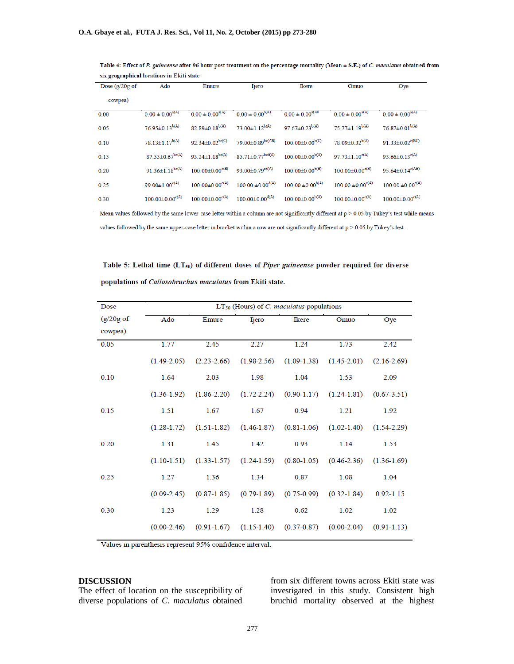| Dose $\left(\frac{g}{20g}\right)$ of | Ado                               | Emure                    | <b>Ijero</b>                      | Ikere                    | Omuo                     | Ove                               |
|--------------------------------------|-----------------------------------|--------------------------|-----------------------------------|--------------------------|--------------------------|-----------------------------------|
| cowpea)                              |                                   |                          |                                   |                          |                          |                                   |
| 0.00                                 | $0.00 \pm 0.00^{a(A)}$            | $0.00 \pm 0.00^{a(A)}$   | $0.00 \pm 0.00^{a(A)}$            | $0.00 \pm 0.00^{a(AD)}$  | $0.00 \pm 0.00^{a(A)}$   | $0.00 \pm 0.00^{a(A)}$            |
| 0.05                                 | $76.95 \pm 0.13^{b(A)}$           | $82.89 \pm 0.18^{b(A)}$  | $73.00 \pm 1.12^{b(A)}$           | $97.67 \pm 0.23^{b(A)}$  | $75.77 \pm 1.19^{b(A)}$  | $76.87 \pm 0.01^{b(A)}$           |
| 0.10                                 | $78.13 \pm 1.17^{b(A)}$           | $92.34 \pm 0.02$ bc(C)   | $79.00 \pm 0.89$ bc(AB)           | $100.00\pm0.00^{b(C)}$   | $78.09 \pm 0.32^{b(A)}$  | $91.33 \pm 0.02$ <sup>e(BC)</sup> |
| 0.15                                 | $87.55 \pm 0.67$ <sup>bc(A)</sup> | $93.24 \pm 1.18^{bc(A)}$ | $85.71 \pm 0.77$ bed(A)           | $100.00 \pm 0.00^{b(A)}$ | $97.73 \pm 1.10^{c(A)}$  | 93.66 $\pm$ 0.13 <sup>c(A)</sup>  |
| 0.20                                 | $91.36 \pm 1.18^{bc(A)}$          | $100.00 \pm 0.00^{c(B)}$ | $93.00 \pm 0.79$ <sup>ed(A)</sup> | $100.00 \pm 0.00^{b(B)}$ | $100.00 \pm 0.00^{c(B)}$ | $95.64 \pm 0.14^{c(AB)}$          |
| 0.25                                 | $99.00 \pm 1.00^{c(A)}$           | $100.00 \pm 0.00^{c(A)}$ | $100.00 \pm 0.00^{d(A)}$          | $100.00 \pm 0.00^{b(A)}$ | $100.00 \pm 0.00^{c(A)}$ | $100.00 \pm 0.00^{c(A)}$          |
| 0.30                                 | $100.00 \pm 0.00^{c(A)}$          | $100.00 \pm 0.00^{c(A)}$ | $100.00 \pm 0.00^{d(A)}$          | $100.00 \pm 0.00^{b(A)}$ | $100.00 \pm 0.00^{c(A)}$ | $100.00 \pm 0.00^{c(A)}$          |
|                                      |                                   |                          |                                   |                          |                          |                                   |

Table 4: Effect of P. guineense after 96 hour post treatment on the percentage mortality (Mean ± S.E.) of C. maculatus obtained from six geographical locations in Ekiti state

Mean values followed by the same lower-case letter within a column are not significantly different at p > 0.05 by Tukey's test while means

values followed by the same upper-case letter in bracket within a row are not significantly different at p > 0.05 by Tukey's test.

Table 5: Lethal time (LT<sub>50</sub>) of different doses of Piper guineense powder required for diverse populations of Callosobruchus maculatus from Ekiti state.

| Dose                 | $LT_{50}$ (Hours) of C. maculatus populations |                 |                                                         |                 |                             |                 |
|----------------------|-----------------------------------------------|-----------------|---------------------------------------------------------|-----------------|-----------------------------|-----------------|
| $(g/20g \text{ of }$ | Ado                                           | Emure           | Ijero                                                   | Ikere           | Omuo                        | Oye             |
| cowpea)              |                                               |                 |                                                         |                 |                             |                 |
| 0.05                 | 1.77                                          | 2.45            | 2.27                                                    | 1.24            | 1.73                        | 2.42            |
|                      | $(1.49 - 2.05)$                               | $(2.23 - 2.66)$ | $(1.98 - 2.56)$                                         |                 | $(1.09-1.38)$ $(1.45-2.01)$ | $(2.16 - 2.69)$ |
| 0.10                 | 1.64                                          | 2.03            | 1.98                                                    | 1.04            | 1.53                        | 2.09            |
|                      | $(1.36-1.92)$                                 | $(1.86 - 2.20)$ | $(1.72 - 2.24)$                                         | $(0.90 - 1.17)$ | $(1.24 - 1.81)$             | $(0.67 - 3.51)$ |
| 0.15                 | 1.51                                          | 1.67            | 1.67                                                    | 0.94            | 1.21                        | 1.92            |
|                      | $(1.28 - 1.72)$                               |                 | $(1.51-1.82)$ $(1.46-1.87)$ $(0.81-1.06)$ $(1.02-1.40)$ |                 |                             | $(1.54 - 2.29)$ |
| 0.20                 | 1.31                                          | 1.45            | 1.42                                                    | 0.93            | 1.14                        | 1.53            |
|                      | $(1.10-1.51)$                                 |                 | $(1.33-1.57)$ $(1.24-1.59)$                             |                 | $(0.80-1.05)$ $(0.46-2.36)$ | $(1.36-1.69)$   |
| 0.25                 | 1.27                                          | 1.36            | 1.34                                                    | 0.87            | 1.08                        | 1.04            |
|                      | $(0.09 - 2.45)$                               | $(0.87 - 1.85)$ | $(0.79 - 1.89)$                                         | $(0.75 - 0.99)$ | $(0.32 - 1.84)$             | $0.92 - 1.15$   |
| 0.30                 | 1.23                                          | 1.29            | 1.28                                                    | 0.62            | 1.02                        | 1.02            |
|                      | $(0.00-2.46)$                                 | $(0.91 - 1.67)$ | $(1.15-1.40)$                                           | $(0.37 - 0.87)$ | $(0.00-2.04)$               | $(0.91 - 1.13)$ |

Values in parenthesis represent 95% confidence interval.

#### **DISCUSSION**

The effect of location on the susceptibility of diverse populations of *C. maculatus* obtained

from six different towns across Ekiti state was investigated in this study. Consistent high bruchid mortality observed at the highest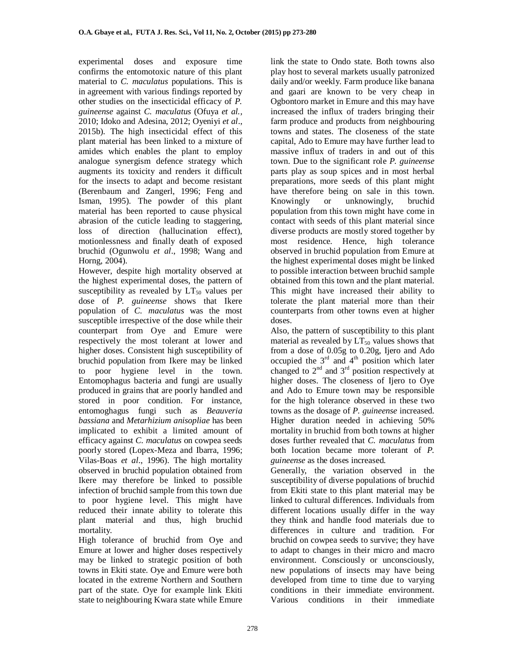experimental doses and exposure time confirms the entomotoxic nature of this plant material to *C. maculatus* populations. This is in agreement with various findings reported by other studies on the insecticidal efficacy of *P. guineense* against *C. maculatus* (Ofuya *et al.,* 2010; Idoko and Adesina, 2012; Oyeniyi *et al*., 2015b). The high insecticidal effect of this plant material has been linked to a mixture of amides which enables the plant to employ analogue synergism defence strategy which augments its toxicity and renders it difficult for the insects to adapt and become resistant (Berenbaum and Zangerl, 1996; Feng and Isman, 1995). The powder of this plant material has been reported to cause physical abrasion of the cuticle leading to staggering, loss of direction (hallucination effect), motionlessness and finally death of exposed bruchid (Ogunwolu *et al*., 1998; Wang and Horng, 2004).

However, despite high mortality observed at the highest experimental doses, the pattern of susceptibility as revealed by  $LT_{50}$  values per dose of *P. guineense* shows that Ikere population of *C. maculatus* was the most susceptible irrespective of the dose while their counterpart from Oye and Emure were respectively the most tolerant at lower and higher doses. Consistent high susceptibility of bruchid population from Ikere may be linked to poor hygiene level in the town. Entomophagus bacteria and fungi are usually produced in grains that are poorly handled and stored in poor condition. For instance, entomoghagus fungi such as *Beauveria bassiana* and *Metarhizium anisopliae* has been implicated to exhibit a limited amount of efficacy against *C. maculatus* on cowpea seeds poorly stored (Lopex-Meza and Ibarra, 1996; Vilas-Boas *et al*., 1996). The high mortality observed in bruchid population obtained from Ikere may therefore be linked to possible infection of bruchid sample from this town due to poor hygiene level. This might have reduced their innate ability to tolerate this plant material and thus, high bruchid mortality.

High tolerance of bruchid from Oye and Emure at lower and higher doses respectively may be linked to strategic position of both towns in Ekiti state. Oye and Emure were both located in the extreme Northern and Southern part of the state. Oye for example link Ekiti state to neighbouring Kwara state while Emure

link the state to Ondo state. Both towns also play host to several markets usually patronized daily and/or weekly. Farm produce like banana and gaari are known to be very cheap in Ogbontoro market in Emure and this may have increased the influx of traders bringing their farm produce and products from neighbouring towns and states. The closeness of the state capital, Ado to Emure may have further lead to massive influx of traders in and out of this town. Due to the significant role *P. guineense* parts play as soup spices and in most herbal preparations, more seeds of this plant might have therefore being on sale in this town. Knowingly or unknowingly, bruchid population from this town might have come in contact with seeds of this plant material since diverse products are mostly stored together by most residence. Hence, high tolerance observed in bruchid population from Emure at the highest experimental doses might be linked to possible interaction between bruchid sample obtained from this town and the plant material. This might have increased their ability to tolerate the plant material more than their counterparts from other towns even at higher doses.

Also, the pattern of susceptibility to this plant material as revealed by  $LT_{50}$  values shows that from a dose of 0.05g to 0.20g, Ijero and Ado occupied the  $3<sup>rd</sup>$  and  $4<sup>th</sup>$  position which later changed to  $2<sup>nd</sup>$  and  $3<sup>rd</sup>$  position respectively at higher doses. The closeness of Ijero to Oye and Ado to Emure town may be responsible for the high tolerance observed in these two towns as the dosage of *P. guineense* increased. Higher duration needed in achieving 50% mortality in bruchid from both towns at higher doses further revealed that *C. maculatus* from both location became more tolerant of *P. guineense* as the doses increased.

Generally, the variation observed in the susceptibility of diverse populations of bruchid from Ekiti state to this plant material may be linked to cultural differences. Individuals from different locations usually differ in the way they think and handle food materials due to differences in culture and tradition. For bruchid on cowpea seeds to survive; they have to adapt to changes in their micro and macro environment. Consciously or unconsciously, new populations of insects may have being developed from time to time due to varying conditions in their immediate environment. Various conditions in their immediate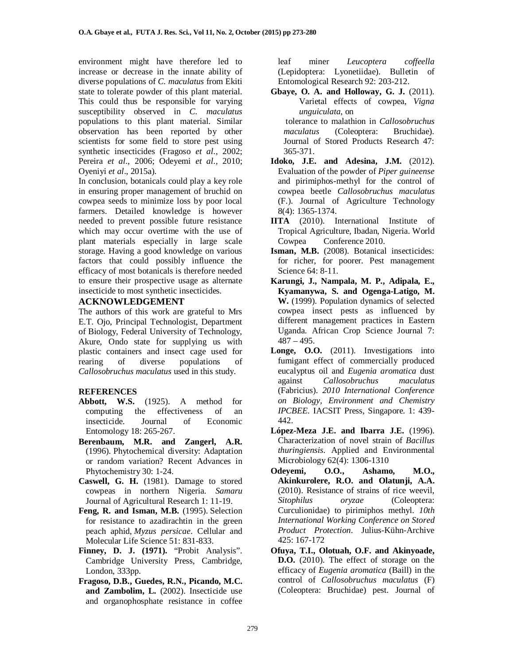environment might have therefore led to increase or decrease in the innate ability of diverse populations of *C. maculatus* from Ekiti state to tolerate powder of this plant material. This could thus be responsible for varying susceptibility observed in *C. maculatus*  populations to this plant material. Similar observation has been reported by other scientists for some field to store pest using synthetic insecticides (Fragoso *et al*., 2002; Pereira *et al*., 2006; Odeyemi *et al*., 2010; Oyeniyi *et al*., 2015a).

In conclusion, botanicals could play a key role in ensuring proper management of bruchid on cowpea seeds to minimize loss by poor local farmers. Detailed knowledge is however needed to prevent possible future resistance which may occur overtime with the use of plant materials especially in large scale storage. Having a good knowledge on various factors that could possibly influence the efficacy of most botanicals is therefore needed to ensure their prospective usage as alternate insecticide to most synthetic insecticides.

### **ACKNOWLEDGEMENT**

The authors of this work are grateful to Mrs E.T. Ojo, Principal Technologist, Department of Biology, Federal University of Technology, Akure, Ondo state for supplying us with plastic containers and insect cage used for rearing of diverse populations of *Callosobruchus maculatus* used in this study.

## **REFERENCES**

- **Abbott, W.S.** (1925). A method for computing the effectiveness of an insecticide. Journal of Economic Entomology 18: 265-267.
- **Berenbaum, M.R. and Zangerl, A.R.** (1996). Phytochemical diversity: Adaptation or random variation? Recent Advances in Phytochemistry 30: 1-24.
- **Caswell, G. H.** (1981). Damage to stored cowpeas in northern Nigeria. *Samaru* Journal of Agricultural Research 1: 11-19.
- **Feng, R. and Isman, M.B.** (1995). Selection for resistance to azadirachtin in the green peach aphid, *Myzus persicae*. Cellular and Molecular Life Science 51: 831-833.
- **Finney, D. J. (1971).** "Probit Analysis". Cambridge University Press, Cambridge, London, 333pp.
- **Fragoso, D.B., Guedes, R.N., Picando, M.C. and Zambolim, L.** (2002). Insecticide use and organophosphate resistance in coffee

leaf miner *Leucoptera coffeella*  (Lepidoptera: Lyonetiidae). Bulletin of Entomological Research 92: 203-212.

**Gbaye, O. A. and Holloway, G. J.** (2011). Varietal effects of cowpea, *Vigna unguiculata*, on

 tolerance to malathion in *Callosobruchus maculatus* (Coleoptera: Bruchidae). Journal of Stored Products Research 47: 365-371.

- **Idoko, J.E. and Adesina, J.M.** (2012). Evaluation of the powder of *Piper guineense*  and pirimiphos-methyl for the control of cowpea beetle *Callosobruchus maculatus*  (F.). Journal of Agriculture Technology 8(4): 1365-1374.
- **IITA** (2010). International Institute of Tropical Agriculture, Ibadan, Nigeria. World Cowpea Conference 2010.
- **Isman, M.B.** (2008). Botanical insecticides: for richer, for poorer. Pest management Science 64: 8-11.
- **Karungi, J., Nampala, M. P., Adipala, E., Kyamanywa, S. and Ogenga-Latigo, M. W.** (1999). Population dynamics of selected cowpea insect pests as influenced by different management practices in Eastern Uganda. African Crop Science Journal 7:  $487 - 495.$
- Longe, O.O. (2011). Investigations into fumigant effect of commercially produced eucalyptus oil and *Eugenia aromatica* dust against *Callosobruchus maculatus* (Fabricius). *2010 International Conference on Biology, Environment and Chemistry IPCBEE*. IACSIT Press, Singapore. 1: 439- 442.
- **López-Meza J.E. and Ibarra J.E.** (1996). Characterization of novel strain of *Bacillus thuringiensis*. Applied and Environmental Microbiology 62(4): 1306-1310
- **Odeyemi, O.O., Ashamo, M.O., Akinkurolere, R.O. and Olatunji, A.A.** (2010). Resistance of strains of rice weevil, *Sitophilus oryzae* (Coleoptera: Curculionidae) to pirimiphos methyl. *10th International Working Conference on Stored Product Protection*. Julius-Kühn-Archive 425: 167-172
- **Ofuya, T.I., Olotuah, O.F. and Akinyoade, D.O.** (2010). The effect of storage on the efficacy of *Eugenia aromatica* (Baill) in the control of *Callosobruchus maculatus* (F) (Coleoptera: Bruchidae) pest. Journal of